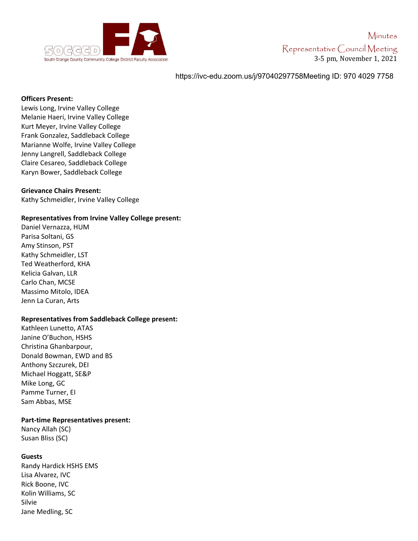

# https://ivc-edu.zoom.us/j/97040297758Meeting ID: 970 4029 7758

#### **Officers Present:**

Lewis Long, Irvine Valley College Melanie Haeri, Irvine Valley College Kurt Meyer, Irvine Valley College Frank Gonzalez, Saddleback College Marianne Wolfe, Irvine Valley College Jenny Langrell, Saddleback College Claire Cesareo, Saddleback College Karyn Bower, Saddleback College

## **Grievance Chairs Present:**

Kathy Schmeidler, Irvine Valley College

## **Representatives from Irvine Valley College present:**

Daniel Vernazza, HUM Parisa Soltani, GS Amy Stinson, PST Kathy Schmeidler, LST Ted Weatherford, KHA Kelicia Galvan, LLR Carlo Chan, MCSE Massimo Mitolo, IDEA Jenn La Curan, Arts

## **Representatives from Saddleback College present:**

Kathleen Lunetto, ATAS Janine O'Buchon, HSHS Christina Ghanbarpour, Donald Bowman, EWD and BS Anthony Szczurek, DEI Michael Hoggatt, SE&P Mike Long, GC Pamme Turner, EI Sam Abbas, MSE

#### **Part-time Representatives present:**

Nancy Allah (SC) Susan Bliss (SC)

## **Guests**

Randy Hardick HSHS EMS Lisa Alvarez, IVC Rick Boone, IVC Kolin Williams, SC Silvie Jane Medling, SC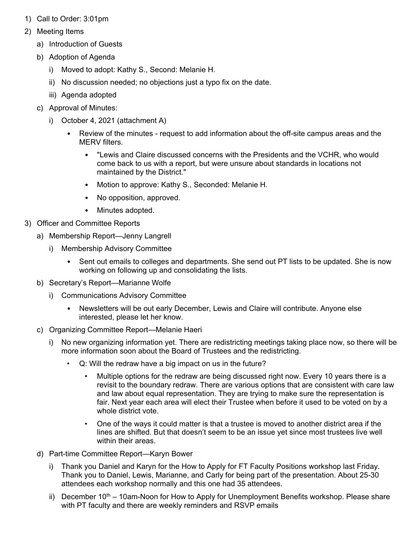- 1) Call to Order: 3:01pm
- 2) Meeting Items
	- a) Introduction of Guests
	- b) Adoption of Agenda
		- i) Moved to adopt: Kathy S., Second: Melanie H.
		- ii) No discussion needed; no objections just a typo fix on the date.
		- iii) Agenda adopted
	- c) Approval of Minutes:
		- i) October 4, 2021 (attachment A)
			- Review of the minutes request to add information about the off-site campus areas and the MFRV filters
				- "Lewis and Claire discussed concerns with the Presidents and the VCHR, who would come back to us with a report, but were unsure about standards in locations not maintained by the District."
				- Motion to approve: Kathy S., Seconded: Melanie H.
				- No opposition, approved.
				- Minutes adopted.
- 3) Officer and Committee Reports
	- a) Membership Report—Jenny Langrell
		- i) Membership Advisory Committee
			- Sent out emails to colleges and departments. She send out PT lists to be updated. She is now working on following up and consolidating the lists.
	- b) Secretary's Report—Marianne Wolfe
		- i) Communications Advisory Committee
			- Newsletters will be out early December, Lewis and Claire will contribute. Anyone else interested, please let her know.
	- c) Organizing Committee Report—Melanie Haeri
		- No new organizing information yet. There are redistricting meetings taking place now, so there will be more information soon about the Board of Trustees and the redistricting.
			- Q: Will the redraw have a big impact on us in the future?
				- Multiple options for the redraw are being discussed right now. Every 10 years there is a revisit to the boundary redraw. There are various options that are consistent with care law and law about equal representation. They are trying to make sure the representation is fair. Next year each area will elect their Trustee when before it used to be voted on by a whole district vote
				- One of the ways it could matter is that a trustee is moved to another district area if the lines are shifted. But that doesn't seem to be an issue yet since most trustees live well within their areas.
	- d) Part-time Committee Report—Karyn Bower
		- i) Thank you Daniel and Karyn for the How to Apply for FT Faculty Positions workshop last Friday. Thank you to Daniel, Lewis, Marianne, and Carly for being part of the presentation. About 25-30 attendees each workshop normally and this one had 35 attendees.
		- ii) December  $10<sup>th</sup> 10$ am-Noon for How to Apply for Unemployment Benefits workshop. Please share with PT faculty and there are weekly reminders and RSVP emails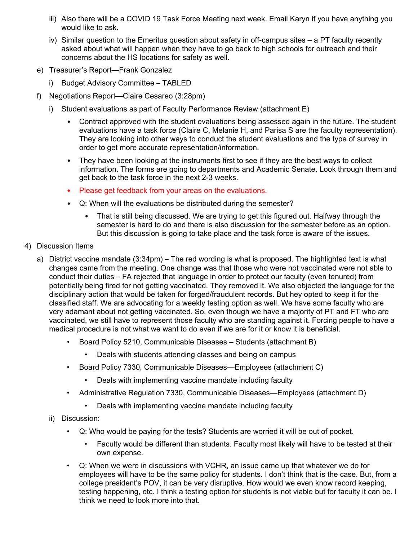- iii) Also there will be a COVID 19 Task Force Meeting next week. Email Karyn if you have anything you would like to ask.
- iv) Similar question to the Emeritus question about safety in off-campus sites a PT faculty recently asked about what will happen when they have to go back to high schools for outreach and their concerns about the HS locations for safety as well.
- e) Treasurer's Report—Frank Gonzalez
	- i) Budget Advisory Committee TABLED
- f) Negotiations Report—Claire Cesareo (3:28pm)
	- i) Student evaluations as part of Faculty Performance Review (attachment E)
		- Contract approved with the student evaluations being assessed again in the future. The student evaluations have a task force (Claire C, Melanie H, and Parisa S are the faculty representation). They are looking into other ways to conduct the student evaluations and the type of survey in order to get more accurate representation/information.
		- They have been looking at the instruments first to see if they are the best ways to collect information. The forms are going to departments and Academic Senate. Look through them and get back to the task force in the next 2-3 weeks.
		- Please get feedback from your areas on the evaluations.
		- Q: When will the evaluations be distributed during the semester?
			- That is still being discussed. We are trying to get this figured out. Halfway through the semester is hard to do and there is also discussion for the semester before as an option. But this discussion is going to take place and the task force is aware of the issues.
- 4) Discussion Items
	- a) District vaccine mandate (3:34pm) The red wording is what is proposed. The highlighted text is what changes came from the meeting. One change was that those who were not vaccinated were not able to conduct their duties – FA rejected that language in order to protect our faculty (even tenured) from potentially being fired for not getting vaccinated. They removed it. We also objected the language for the disciplinary action that would be taken for forged/fraudulent records. But hey opted to keep it for the classified staff. We are advocating for a weekly testing option as well. We have some faculty who are very adamant about not getting vaccinated. So, even though we have a majority of PT and FT who are vaccinated, we still have to represent those faculty who are standing against it. Forcing people to have a medical procedure is not what we want to do even if we are for it or know it is beneficial.
		- Board Policy 5210, Communicable Diseases Students (attachment B)
			- Deals with students attending classes and being on campus
		- Board Policy 7330, Communicable Diseases—Employees (attachment C)
			- Deals with implementing vaccine mandate including faculty
		- Administrative Regulation 7330, Communicable Diseases—Employees (attachment D)
			- Deals with implementing vaccine mandate including faculty
		- ii) Discussion:
			- Q: Who would be paying for the tests? Students are worried it will be out of pocket.
				- Faculty would be different than students. Faculty most likely will have to be tested at their own expense.
			- Q: When we were in discussions with VCHR, an issue came up that whatever we do for employees will have to be the same policy for students. I don't think that is the case. But, from a college president's POV, it can be very disruptive. How would we even know record keeping, testing happening, etc. I think a testing option for students is not viable but for faculty it can be. I think we need to look more into that.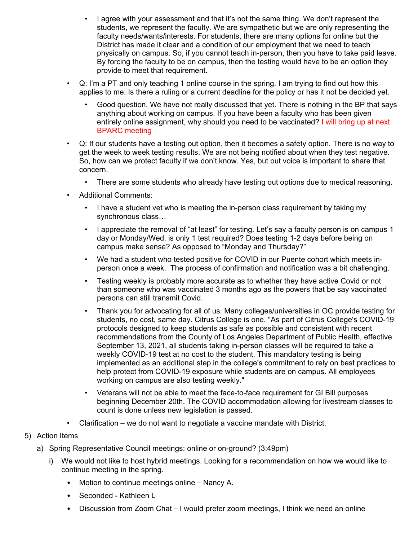- I agree with your assessment and that it's not the same thing. We don't represent the students, we represent the faculty. We are sympathetic but we are only representing the faculty needs/wants/interests. For students, there are many options for online but the District has made it clear and a condition of our employment that we need to teach physically on campus. So, if you cannot teach in-person, then you have to take paid leave. By forcing the faculty to be on campus, then the testing would have to be an option they provide to meet that requirement.
- Q: I'm a PT and only teaching 1 online course in the spring. I am trying to find out how this applies to me. Is there a ruling or a current deadline for the policy or has it not be decided yet.
	- Good question. We have not really discussed that yet. There is nothing in the BP that says anything about working on campus. If you have been a faculty who has been given entirely online assignment, why should you need to be vaccinated? I will bring up at next BPARC meeting
- Q: If our students have a testing out option, then it becomes a safety option. There is no way to get the week to week testing results. We are not being notified about when they test negative. So, how can we protect faculty if we don't know. Yes, but out voice is important to share that concern.
	- There are some students who already have testing out options due to medical reasoning.
- Additional Comments:
	- I have a student vet who is meeting the in-person class requirement by taking my synchronous class…
	- I appreciate the removal of "at least" for testing. Let's say a faculty person is on campus 1 day or Monday/Wed, is only 1 test required? Does testing 1-2 days before being on campus make sense? As opposed to "Monday and Thursday?"
	- We had a student who tested positive for COVID in our Puente cohort which meets inperson once a week. The process of confirmation and notification was a bit challenging.
	- Testing weekly is probably more accurate as to whether they have active Covid or not than someone who was vaccinated 3 months ago as the powers that be say vaccinated persons can still transmit Covid.
	- Thank you for advocating for all of us. Many colleges/universities in OC provide testing for students, no cost, same day. Citrus College is one. "As part of Citrus College's COVID-19 protocols designed to keep students as safe as possible and consistent with recent recommendations from the County of Los Angeles Department of Public Health, effective September 13, 2021, all students taking in-person classes will be required to take a weekly COVID-19 test at no cost to the student. This mandatory testing is being implemented as an additional step in the college's commitment to rely on best practices to help protect from COVID-19 exposure while students are on campus. All employees working on campus are also testing weekly."
	- Veterans will not be able to meet the face-to-face requirement for GI Bill purposes beginning December 20th. The COVID accommodation allowing for livestream classes to count is done unless new legislation is passed.
- Clarification we do not want to negotiate a vaccine mandate with District.
- 5) Action Items
	- a) Spring Representative Council meetings: online or on-ground? (3:49pm)
		- i) We would not like to host hybrid meetings. Looking for a recommendation on how we would like to continue meeting in the spring.
			- Motion to continue meetings online Nancy A.
			- Seconded Kathleen L
			- Discussion from Zoom Chat I would prefer zoom meetings, I think we need an online